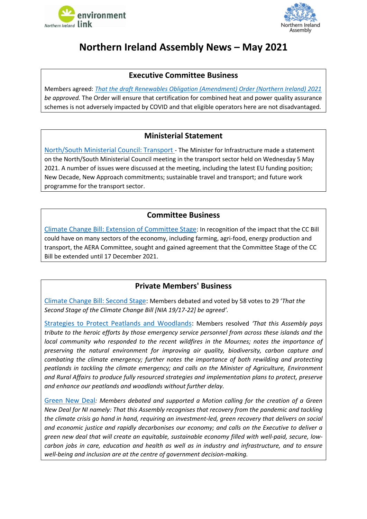



# <span id="page-0-0"></span>**Northern Ireland Assembly News – May 2021**

### **Executive Committee Business**

Members agreed: *[That the draft Renewables Obligation \(Amendment\) Order \(Northern Ireland\) 2021](http://aims.niassembly.gov.uk/officialreport/report.aspx?&eveDate=2021/05/24&docID=338423#3466178) be approved.* The Order will ensure that certification for combined heat and power quality assurance schemes is not adversely impacted by COVID and that eligible operators here are not disadvantaged*.*

### **Ministerial Statement**

[North/South Ministerial Council: Transport](http://aims.niassembly.gov.uk/officialreport/report.aspx?&eveDate=2021/05/25&docID=338424#3471498) - The Minister for Infrastructure made a statement on the North/South Ministerial Council meeting in the transport sector held on Wednesday 5 May 2021. A number of issues were discussed at the meeting, including the latest EU funding position; New Decade, New Approach commitments; sustainable travel and transport; and future work programme for the transport sector.

### **Committee Business**

[Climate Change Bill: Extension of Committee Stage](http://aims.niassembly.gov.uk/officialreport/report.aspx?&eveDate=2021/05/24&docID=338423#3466199): In recognition of the impact that the CC Bill could have on many sectors of the economy, including farming, agri-food, energy production and transport, the AERA Committee, sought and gained agreement that the Committee Stage of the CC Bill be extended until 17 December 2021.

### **Private Members' Business**

[Climate Change Bill: Second Stage:](http://aims.niassembly.gov.uk/officialreport/report.aspx?&eveDate=2021-05-10&docID=336439#3433056) Members debated and voted by 58 votes to 29 '*That the Second Stage of the Climate Change Bill [NIA 19/17-22] be agreed'.*

[Strategies to Protect Peatlands and Woodlands:](http://aims.niassembly.gov.uk/officialreport/report.aspx?&eveDate=2021/05/11&docID=336440#3438476) Members resolved *'That this Assembly pays tribute to the heroic efforts by those emergency service personnel from across these islands and the local community who responded to the recent wildfires in the Mournes; notes the importance of preserving the natural environment for improving air quality, biodiversity, carbon capture and combating the climate emergency; further notes the importance of both rewilding and protecting peatlands in tackling the climate emergency; and calls on the Minister of Agriculture, Environment and Rural Affairs to produce fully resourced strategies and implementation plans to protect, preserve and enhance our peatlands and woodlands without further delay.*

[Green New Deal](http://aims.niassembly.gov.uk/officialreport/report.aspx?&eveDate=2021/05/24&docID=338423#3466336)*: Members debated and supported a Motion calling for the creation of a Green New Deal for NI namely: That this Assembly recognises that recovery from the pandemic and tackling the climate crisis go hand in hand, requiring an investment-led, green recovery that delivers on social and economic justice and rapidly decarbonises our economy; and calls on the Executive to deliver a green new deal that will create an equitable, sustainable economy filled with well-paid, secure, lowcarbon jobs in care, education and health as well as in industry and infrastructure, and to ensure well-being and inclusion are at the centre of government decision-making.*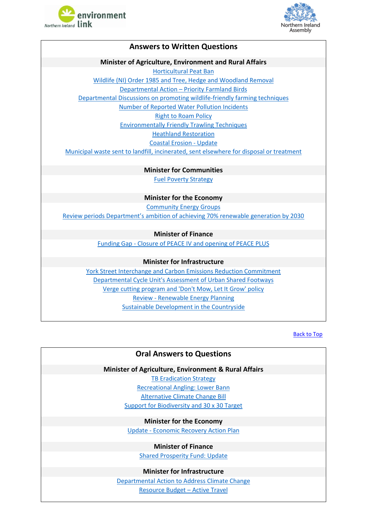



### **Answers to Written Questions Minister of Agriculture, Environment and Rural Affairs** [Horticultural Peat Ban](http://aims.niassembly.gov.uk/questions/printquestionsummary.aspx?docid=338483) [Wildlife \(NI\) Order 1985 and Tree, Hedge and Woodland Removal](http://aims.niassembly.gov.uk/questions/printquestionsummary.aspx?docid=334478) Departmental Action – [Priority Farmland Birds](http://aims.niassembly.gov.uk/questions/printquestionsummary.aspx?docid=334477) [Departmental Discussions on promoting wildlife-friendly farming techniques](http://aims.niassembly.gov.uk/questions/printquestionsummary.aspx?docid=334476) [Number of Reported Water Pollution](http://aims.niassembly.gov.uk/questions/printquestionsummary.aspx?docid=336201) Incidents [Right to Roam Policy](http://aims.niassembly.gov.uk/questions/printquestionsummary.aspx?docid=334729) [Environmentally Friendly Trawling Techniques](http://aims.niassembly.gov.uk/questions/printquestionsummary.aspx?docid=335291) [Heathland Restoration](http://aims.niassembly.gov.uk/questions/printquestionsummary.aspx?docid=336622) [Coastal Erosion -](http://aims.niassembly.gov.uk/questions/printquestionsummary.aspx?docid=336621) Update

Municipal waste sent to landfill, incinerated, [sent elsewhere for disposal or treatment](http://aims.niassembly.gov.uk/questions/printquestionsummary.aspx?docid=335857)

**Minister for Communities** [Fuel Poverty Strategy](http://aims.niassembly.gov.uk/questions/printquestionsummary.aspx?docid=336782)

**Minister for the Economy** [Community Energy Groups](http://aims.niassembly.gov.uk/questions/printquestionsummary.aspx?docid=333268) [Review periods Department's ambition of achieving 70% renewable generation by 2030](http://aims.niassembly.gov.uk/questions/printquestionsummary.aspx?docid=332668)

#### **Minister of Finance**

Funding Gap - [Closure of PEACE IV and opening of PEACE PLUS](http://aims.niassembly.gov.uk/questions/printquestionsummary.aspx?docid=338138)

#### **Minister for Infrastructure**

[York Street Interchange and Carbon Emissions Reduction Commitment](http://aims.niassembly.gov.uk/questions/printquestionsummary.aspx?docid=335014) [Departmental Cycle Unit's Assessment of Urban Shared Footways](http://aims.niassembly.gov.uk/questions/printquestionsummary.aspx?docid=335010) [Verge cutting program and 'Don't Mow, Let It Grow' policy](http://aims.niassembly.gov.uk/questions/printquestionsummary.aspx?docid=334750) Review - [Renewable Energy Planning](http://aims.niassembly.gov.uk/questions/printquestionsummary.aspx?docid=335063) [Sustainable Development in the Countryside](http://aims.niassembly.gov.uk/questions/printquestionsummary.aspx?docid=335798)

[Back to Top](#page-0-0)

#### **Oral Answers to Questions**

#### **Minister of Agriculture, Environment & Rural Affairs**

[TB Eradication Strategy](http://aims.niassembly.gov.uk/officialreport/report.aspx?&eveDate=2021-05-04&docID=335376#AQO%201977/17-22) [Recreational Angling: Lower Bann](http://aims.niassembly.gov.uk/officialreport/report.aspx?&eveDate=2021-05-04&docID=335376#AQO%201982/17-22) [Alternative Climate Change Bill](http://aims.niassembly.gov.uk/officialreport/report.aspx?&eveDate=2021/05/25&docID=338424#3471764) [Support for Biodiversity and 30 x 30 Target](http://aims.niassembly.gov.uk/officialreport/report.aspx?&eveDate=2021/05/25&docID=338424#3471764)

**Minister for the Economy**

Update - [Economic Recovery Action](http://aims.niassembly.gov.uk/officialreport/report.aspx?&eveDate=2021-05-10&docID=336439#AQO%202006/17-22) Plan

**Minister of Finance**

[Shared Prosperity Fund: Update](http://aims.niassembly.gov.uk/officialreport/report.aspx?&eveDate=2021-05-17&docID=337442#AQO%202049/17-22)

#### **Minister for Infrastructure**

[Departmental Action to Address](http://aims.niassembly.gov.uk/officialreport/report.aspx?&eveDate=2021-05-24&docID=338423#AQO%202077/17-22) Climate Change [Resource Budget](http://aims.niassembly.gov.uk/officialreport/report.aspx?&eveDate=2021-05-24&docID=338423#AQO%202079/17-22) – Active Travel